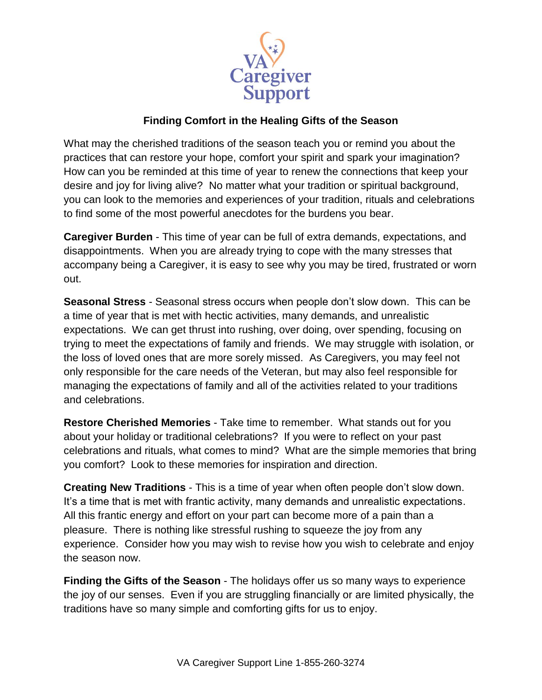

## **Finding Comfort in the Healing Gifts of the Season**

What may the cherished traditions of the season teach you or remind you about the practices that can restore your hope, comfort your spirit and spark your imagination? How can you be reminded at this time of year to renew the connections that keep your desire and joy for living alive? No matter what your tradition or spiritual background, you can look to the memories and experiences of your tradition, rituals and celebrations to find some of the most powerful anecdotes for the burdens you bear.

**Caregiver Burden** - This time of year can be full of extra demands, expectations, and disappointments. When you are already trying to cope with the many stresses that accompany being a Caregiver, it is easy to see why you may be tired, frustrated or worn out.

**Seasonal Stress** - Seasonal stress occurs when people don't slow down. This can be a time of year that is met with hectic activities, many demands, and unrealistic expectations. We can get thrust into rushing, over doing, over spending, focusing on trying to meet the expectations of family and friends. We may struggle with isolation, or the loss of loved ones that are more sorely missed. As Caregivers, you may feel not only responsible for the care needs of the Veteran, but may also feel responsible for managing the expectations of family and all of the activities related to your traditions and celebrations.

**Restore Cherished Memories** - Take time to remember. What stands out for you about your holiday or traditional celebrations? If you were to reflect on your past celebrations and rituals, what comes to mind? What are the simple memories that bring you comfort? Look to these memories for inspiration and direction.

**Creating New Traditions** - This is a time of year when often people don't slow down. It's a time that is met with frantic activity, many demands and unrealistic expectations. All this frantic energy and effort on your part can become more of a pain than a pleasure. There is nothing like stressful rushing to squeeze the joy from any experience. Consider how you may wish to revise how you wish to celebrate and enjoy the season now.

**Finding the Gifts of the Season** - The holidays offer us so many ways to experience the joy of our senses. Even if you are struggling financially or are limited physically, the traditions have so many simple and comforting gifts for us to enjoy.